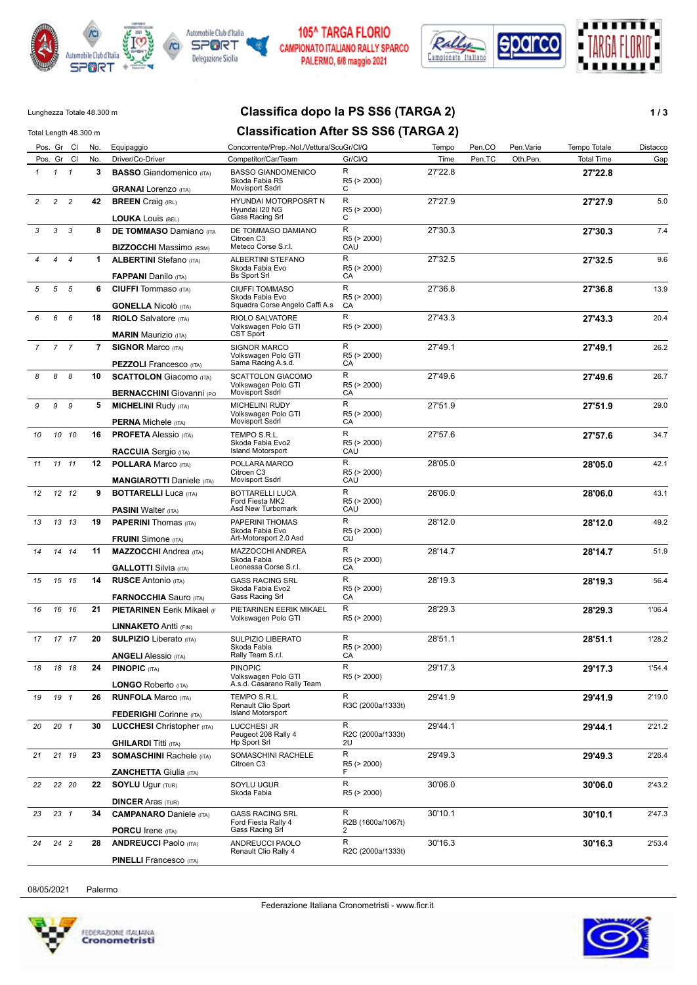



#### **105^ TARGA FLORIO** CAMPIONATO ITALIANO RALLY SPARCO PALERMO, 6/8 maggio 2021



## Lunghezza Totale 48.300 m **Classifica dopo la PS SS6 (TARGA 2) 1 / 3**

#### Total Length 48.300 m **Classification After SS SS6 (TARGA 2)** Pos. Gr Cl No. Equipaggio Concorrente/Prep.-Nol./Vettura/ScuGr/Cl/Q Tempo Pen.CO Pen.Varie Tempo Totale Distacco Pos. Gr Cl No. Driver/Co-Driver Competitor/Car/Team Gr/Cl/Q Time Pen.TC Oth.Pen. Total Time Gap *1* **3 BASSO** Giandomenico (ITA) **27'22.8** Skoda Fabia R5 Movisport Ssdrl *1 1* **GRANAI** Lorenzo (ITA) 27'22.8 R  $\Gamma$ R5 (> 2000) BASSO GIANDOMENICO *2* **42 BREEN** Craig (IRL) **27'27.9** 5.0 Hyundai I20 NG Gass Racing Srl *2 2* **LOUKA** Louis (BEL) 27'27.9 R  $\cap$ R5 (> 2000) HYUNDAI MOTORPOSRT N *3* **8 DE TOMMASO** Damiano (ITA **27'30.3** 7.4 Citroen C3 Meteco Corse S.r.l. *3 3* **BIZZOCCHI** Massimo (RSM) 27'30.3 R **CAU** R5 (> 2000) DE TOMMASO DAMIANO *4* **1 ALBERTINI** Stefano (ITA) **27'32.5** 9.6 Skoda Fabia Evo *4 4* **FAPPANI** Danilo (ITA) 27'32.5 Bs Sport Srl R CA R5 (> 2000) ALBERTINI STEFANO *5* **6 CIUFFI** Tommaso (ITA) **27'36.8** 13.9 Skoda Fabia Evo Squadra Corse Angelo Caffi A.s *5 5* **GONELLA** Nicolò (ITA) 27'36.8 R CA R5 (> 2000) CIUFFI TOMMASO *6* **18 RIOLO** Salvatore (ITA) **27'43.3** 20.4 Volkswagen Polo GTI CST Sport *6 6* **MARIN** Maurizio (ITA) 27'43.3 R R5 (> 2000) RIOLO SALVATORE *7* **7 SIGNOR** Marco (ITA) **27'49.1** 26.2 Volkswagen Polo GTI *7 7* **PEZZOLI** Francesco (ITA) 27'49.1 Sama Racing A.s.d.  $\overline{R}$  $\overline{C}$ A R5 (> 2000) SIGNOR MARCO *8* **10 SCATTOLON** Giacomo (ITA) **27'49.6** 26.7 Volkswagen Polo GTI *8 8* **BERNACCHINI** Giovanni (PO 27'49.6 Movisport Ssdrl  $\overline{R}$ CA R5 (> 2000) SCATTOLON GIACOMO *9* **5 MICHELINI** Rudy (ITA) **27'51.9** 29.0 Volkswagen Polo GTI Movisport Ssdrl *9 9* **PERNA** Michele (ITA) 27'51.9 R **CA** R5 (> 2000) MICHELINI RUDY *10* **16 PROFETA** Alessio (ITA) **27'57.6** 34.7 Skoda Fabia Evo2 Island Motorsport *10 10* **RACCUIA** Sergio (ITA) 27'57.6 R CAÙ R5 (> 2000) TEMPO S.R.L. *11* **12 POLLARA** Marco (ITA) **28'05.0** 42.1 Citroen C3 Movisport Ssdrl *11 11* **MANGIAROTTI** Daniele (ITA) 28'05.0 R CAU R5 (> 2000) POLLARA MARCO *12* **9 BOTTARELLI** Luca (ITA) **28'06.0** 43.1 Ford Fiesta MK2 *12 12* **PASINI** Walter (ITA) 28'06.0 Asd New Turbomark R **CAU** R5 (> 2000) BOTTARELLI LUCA *13* **19 PAPERINI** Thomas (ITA) **28'12.0** 49.2 Skoda Fabia Evo *13 13* **FRUINI** Simone (ITA) 28'12.0 Art-Motorsport 2.0 Asd R CU R5 (> 2000) PAPERINI THOMAS *14* **11 MAZZOCCHI** Andrea (ITA) **28'14.7** 51.9 Skoda Fabia Leonessa Corse S.r.l. *14 14* **GALLOTTI** Silvia (ITA) 28'14.7 R CA R5 (> 2000) MAZZOCCHI ANDREA *15* **14 RUSCE** Antonio (ITA) **28'19.3** 56.4 Skoda Fabia Evo2 *15 15* **FARNOCCHIA** Sauro (ITA) 28'19.3 Gass Racing Srl R CA R5 (> 2000) GASS RACING SRL *16* **21 PIETARINEN** Eerik Mikael (F **28'29.3** 1'06.4 Volkswagen Polo GTI *16 16* **LINNAKETO** Antti (FIN) R 28'29.3 R5 (> 2000) PIETARINEN EERIK MIKAEL *17* **20 SULPIZIO** Liberato (ITA) **28'51.1** 1'28.2 Skoda Fabia *17 17* **ANGELI** Alessio (ITA) 28'51.1 Rally Team S.r.l.  $\overline{R}$ **CA** R5 (> 2000) SULPIZIO LIBERATO *18* **24 PINOPIC** (ITA) **29'17.3** 1'54.4 Volkswagen Polo GTI A.s.d. Casarano Rally Team *18 18* **LONGO** Roberto (ITA) 29'17.3  $\overline{R}$ R5 (> 2000) PINOPIC *19* **26 RUNFOLA** Marco (ITA) **29'41.9** 2'19.0 Renault Clio Sport Island Motorsport *19 1* **FEDERIGHI** Corinne (ITA) 29'41.9 R R3C (2000a/1333t) TEMPO S.R.L. *20* **30 LUCCHESI** Christopher (ITA) **29'44.1** 2'21.2 Peugeot 208 Rally 4 Hp Sport Srl *20 1* **GHILARDI** Titti (ITA) 29'44.1  $\overline{R}$ 2U R2C (2000a/1333t) LUCCHESI JR *21* **23 SOMASCHINI** Rachele (ITA) **29'49.3** 2'26.4 Citroen C3 *21 19* **ZANCHETTA** Giulia (ITA) R 29'49.3 F R5 (> 2000) SOMASCHINI RACHELE *22* **22 SOYLU** Ugur (TUR) **30'06.0** 2'43.2 Skoda Fabia *22 20* **DINCER** Aras (TUR) R 30'06.0 R5 (> 2000) SOYLU UGUR *23* **34 CAMPANARO** Daniele (ITA) **30'10.1** 2'47.3 Ford Fiesta Rally 4 Gass Racing Srl *23 1* **PORCU** Irene (ITA) 30'10.1 R 2 R2B (1600a/1067t) GASS RACING SRL *24* **28 ANDREUCCI** Paolo (ITA) **30'16.3** 2'53.4 *24 2* 30'16.3 ANDREUCCI PAOLO

08/05/2021 Palermo



**PINELLI** Francesco (ITA)

R2C (2000a/1333t)

Renault Clio Rally 4

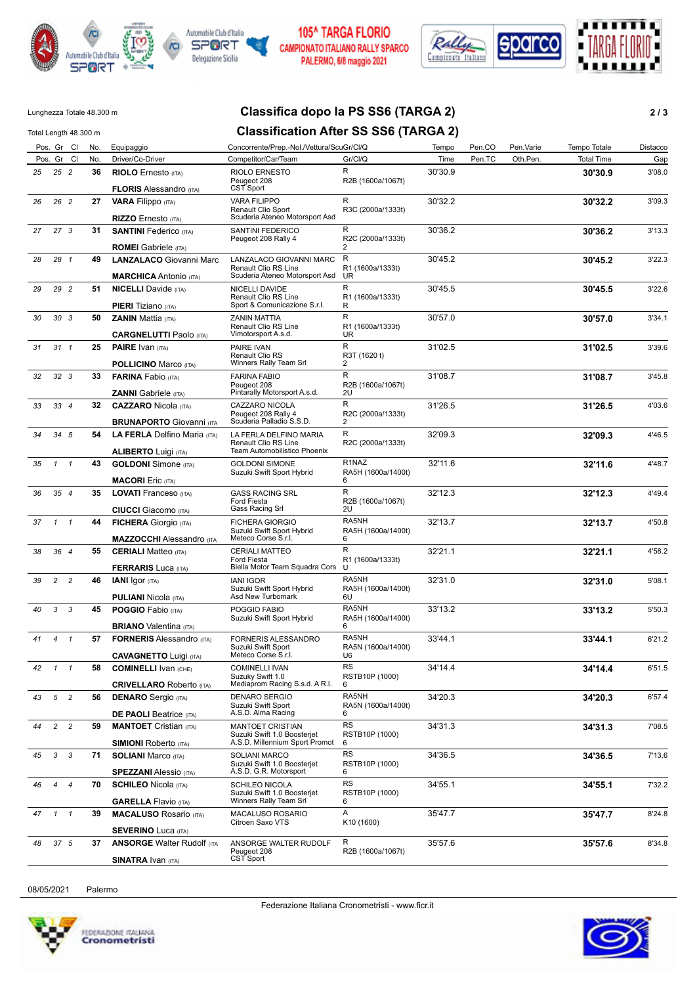



### 105^ TARGA FLORIO CAMPIONATO ITALIANO RALLY SPARCO PALERMO, 6/8 maggio 2021



# Lunghezza Totale 48.300 m **Classifica dopo la PS SS6 (TARGA 2) 2 / 3**

| Total Length 48.300 m |                 |                 |     |                                                               |                                                                                          | <b>Classification After SS SS6 (TARGA 2)</b> |         |        |           |                   |          |  |  |
|-----------------------|-----------------|-----------------|-----|---------------------------------------------------------------|------------------------------------------------------------------------------------------|----------------------------------------------|---------|--------|-----------|-------------------|----------|--|--|
|                       |                 | Pos. Gr Cl      | No. | Equipaggio                                                    | Concorrente/Prep.-Nol./Vettura/ScuGr/Cl/Q                                                |                                              | Tempo   | Pen.CO | Pen.Varie | Tempo Totale      | Distacco |  |  |
|                       |                 | Pos. Gr Cl      | No. | Driver/Co-Driver                                              | Competitor/Car/Team                                                                      | Gr/Cl/Q                                      | Time    | Pen.TC | Oth.Pen.  | <b>Total Time</b> | Gap      |  |  |
| 25                    | $25$ 2          |                 | 36  | <b>RIOLO</b> Ernesto (ITA)<br><b>FLORIS</b> Alessandro (ITA)  | RIOLO ERNESTO<br>Peugeot 208<br>CST Sport                                                | R<br>R2B (1600a/1067t)                       | 30'30.9 |        |           | 30'30.9           | 3'08.0   |  |  |
| 26                    |                 | 26 2            | 27  | <b>VARA Filippo</b> (ITA)                                     | <b>VARA FILIPPO</b><br>Renault Clio Sport                                                | R<br>R3C (2000a/1333t)                       | 30'32.2 |        |           | 30'32.2           | 3'09.3   |  |  |
|                       |                 |                 |     | RIZZO Ernesto (ITA)                                           | Scuderia Ateneo Motorsport Asd                                                           |                                              |         |        |           |                   |          |  |  |
| 27                    | 27 <sub>3</sub> |                 | 31  | <b>SANTINI</b> Federico (ITA)<br><b>ROMEI</b> Gabriele (ITA)  | SANTINI FEDERICO<br>Peugeot 208 Rally 4                                                  | R<br>R2C (2000a/1333t)<br>2                  | 30'36.2 |        |           | 30'36.2           | 3'13.3   |  |  |
| 28                    | 28 1            |                 | 49  | <b>LANZALACO</b> Giovanni Marc                                | LANZALACO GIOVANNI MARC                                                                  | R                                            | 30'45.2 |        |           | 30'45.2           | 3'22.3   |  |  |
|                       |                 |                 |     | <b>MARCHICA</b> Antonio (ITA)                                 | Renault Clio RS Line<br>Scuderia Ateneo Motorsport Asd                                   | R1 (1600a/1333t)<br>UR                       |         |        |           |                   |          |  |  |
| 29                    |                 | 29 2            | 51  | <b>NICELLI</b> Davide (ITA)<br><b>PIERI</b> Tiziano (ITA)     | NICELLI DAVIDE<br>Renault Clio RS Line<br>Sport & Comunicazione S.r.l.                   | R<br>R1 (1600a/1333t)<br>R                   | 30'45.5 |        |           | 30'45.5           | 3'22.6   |  |  |
| 30                    |                 | 30 <sub>3</sub> | 50  | <b>ZANIN</b> Mattia (ITA)                                     | <b>ZANIN MATTIA</b>                                                                      | R                                            | 30'57.0 |        |           | 30'57.0           | 3'34.1   |  |  |
|                       |                 |                 |     | <b>CARGNELUTTI Paolo (ITA)</b>                                | Renault Clio RS Line<br>Vimotorsport A.s.d.                                              | R1 (1600a/1333t)<br><b>UR</b>                |         |        |           |                   |          |  |  |
| 31                    | $31 \quad 1$    |                 | 25  | <b>PAIRE</b> Ivan (ITA)                                       | PAIRE IVAN<br>Renault Clio RS                                                            | R<br>R3T (1620 t)                            | 31'02.5 |        |           | 31'02.5           | 3'39.6   |  |  |
|                       |                 |                 |     | <b>POLLICINO Marco (ITA)</b>                                  | Winners Rally Team Srl                                                                   | 2                                            |         |        |           |                   |          |  |  |
| 32                    | 32 <sub>3</sub> |                 | 33  | <b>FARINA Fabio (ITA)</b>                                     | <b>FARINA FABIO</b><br>Peugeot 208                                                       | R<br>R2B (1600a/1067t)                       | 31'08.7 |        |           | 31'08.7           | 3'45.8   |  |  |
|                       |                 |                 |     | <b>ZANNI</b> Gabriele (ITA)                                   | Pintarally Motorsport A.s.d.                                                             | 2U                                           |         |        |           |                   |          |  |  |
| 33                    | 334             |                 | 32  | <b>CAZZARO</b> Nicola (ITA)                                   | CAZZARO NICOLA<br>Peugeot 208 Rally 4<br>Scuderia Palladio S.S.D.                        | R<br>R2C (2000a/1333t)                       | 31'26.5 |        |           | 31'26.5           | 4'03.6   |  |  |
|                       |                 |                 |     | <b>BRUNAPORTO Giovanni (ITA</b>                               |                                                                                          | 2<br>R                                       |         |        |           |                   |          |  |  |
| 34                    |                 | 34 5            | 54  | LA FERLA Delfino Maria (ITA)<br><b>ALIBERTO Luigi (ITA)</b>   | LA FERLA DELFINO MARIA<br>Renault Clio RS Line<br>Team Automobilistico Phoenix           | R2C (2000a/1333t)                            | 32'09.3 |        |           | 32'09.3           | 4'46.5   |  |  |
| 35                    | $\mathbf{1}$    | $\mathbf{1}$    | 43  | <b>GOLDONI</b> Simone (ITA)                                   | <b>GOLDONI SIMONE</b>                                                                    | R <sub>1</sub> NAZ                           | 32'11.6 |        |           | 32'11.6           | 4'48.7   |  |  |
|                       |                 |                 |     | <b>MACORI</b> Eric (ITA)                                      | Suzuki Swift Sport Hybrid                                                                | RA5H (1600a/1400t)<br>6                      |         |        |           |                   |          |  |  |
| 36                    | 354             |                 | 35  | <b>LOVATI</b> Franceso (ITA)                                  | <b>GASS RACING SRL</b>                                                                   | R                                            | 32'12.3 |        |           | 32'12.3           | 4'49.4   |  |  |
|                       |                 |                 |     | <b>CIUCCI</b> Giacomo (ITA)                                   | <b>Ford Fiesta</b><br>Gass Racing Srl                                                    | R2B (1600a/1067t)<br>2U                      |         |        |           |                   |          |  |  |
| 37                    | $1 \quad 1$     |                 | 44  | <b>FICHERA</b> Giorgio (ITA)                                  | <b>FICHERA GIORGIO</b>                                                                   | RA5NH                                        | 32'13.7 |        |           | 32'13.7           | 4'50.8   |  |  |
|                       |                 |                 |     | <b>MAZZOCCHI</b> Alessandro (ITA                              | Suzuki Swift Sport Hybrid<br>Meteco Corse S.r.l.                                         | RA5H (1600a/1400t)<br>6                      |         |        |           |                   |          |  |  |
| 38                    | 36 4            |                 | 55  | <b>CERIALI</b> Matteo (ITA)                                   | <b>CERIALI MATTEO</b>                                                                    | $\mathsf{R}$                                 | 32'21.1 |        |           | 32'21.1           | 4'58.2   |  |  |
|                       |                 |                 |     | <b>FERRARIS Luca (ITA)</b>                                    | Ford Fiesta<br>Biella Motor Team Squadra Cors                                            | R1 (1600a/1333t)<br>U                        |         |        |           |                   |          |  |  |
| 39                    | 2               | $\overline{c}$  | 46  | <b>IANI</b> Igor (ITA)                                        | <b>IANI IGOR</b>                                                                         | RA5NH                                        | 32'31.0 |        |           | 32'31.0           | 5'08.1   |  |  |
|                       |                 |                 |     | <b>PULIANI Nicola (ITA)</b>                                   | Suzuki Swift Sport Hybrid<br>Asd New Turbomark                                           | RA5H (1600a/1400t)<br>6U                     |         |        |           |                   |          |  |  |
| 40                    | 3               | 3               | 45  | <b>POGGIO</b> Fabio (ITA)                                     | POGGIO FABIO                                                                             | RA5NH                                        | 33'13.2 |        |           | 33'13.2           | 5'50.3   |  |  |
|                       |                 |                 |     | <b>BRIANO</b> Valentina (ITA)                                 | Suzuki Swift Sport Hybrid                                                                | RA5H (1600a/1400t)<br>6                      |         |        |           |                   |          |  |  |
| 41                    | $4 \quad 1$     |                 | 57  | <b>FORNERIS Alessandro (ITA)</b>                              | FORNERIS ALESSANDRO                                                                      | RA5NH                                        | 33'44.1 |        |           | 33'44.1           | 6'21.2   |  |  |
|                       |                 |                 |     | <b>CAVAGNETTO Luigi (ITA)</b>                                 | Suzuki Swift Sport<br>Meteco Corse S.r.l.                                                | RA5N (1600a/1400t)<br>U6                     |         |        |           |                   |          |  |  |
| 42                    | $\mathcal{I}$   | $\overline{1}$  | 58  | <b>COMINELLI IVAN (CHE)</b>                                   | <b>COMINELLI IVAN</b>                                                                    | <b>RS</b>                                    | 34'14.4 |        |           | 34'14.4           | 6'51.5   |  |  |
|                       |                 |                 |     |                                                               | Suzuky Swift 1.0                                                                         | RSTB10P (1000)                               |         |        |           |                   |          |  |  |
|                       |                 |                 |     | <b>CRIVELLARO</b> Roberto (ITA)                               | Mediaprom Racing S.s.d. A R.I.                                                           | 6<br>RA5NH                                   |         |        |           |                   |          |  |  |
| 43                    | 5               | $\overline{c}$  | 56  | <b>DENARO</b> Sergio (ITA)                                    | <b>DENARO SERGIO</b><br>Suzuki Swift Sport                                               | RA5N (1600a/1400t)                           | 34'20.3 |        |           | 34'20.3           | 6'57.4   |  |  |
|                       |                 |                 |     | <b>DE PAOLI Beatrice (ITA)</b>                                | A.S.D. Alma Racing                                                                       | 6                                            |         |        |           |                   |          |  |  |
| 44                    | $\overline{2}$  | $\overline{c}$  | 59  | <b>MANTOET</b> Cristian (ITA)<br><b>SIMIONI Roberto (ITA)</b> | <b>MANTOET CRISTIAN</b><br>Suzuki Swift 1.0 Boosterjet<br>A.S.D. Millennium Sport Promot | RS<br>RSTB10P (1000)<br>6                    | 34'31.3 |        |           | 34'31.3           | 7'08.5   |  |  |
| 45                    | $\mathbf{3}$    | 3               | 71  | <b>SOLIANI Marco (ITA)</b>                                    | <b>SOLIANI MARCO</b>                                                                     | RS                                           | 34'36.5 |        |           | 34'36.5           | 7'13.6   |  |  |
|                       |                 |                 |     | <b>SPEZZANI</b> Alessio (ITA)                                 | Suzuki Swift 1.0 Boosterjet<br>A.S.D. G.R. Motorsport                                    | RSTB10P (1000)<br>6                          |         |        |           |                   |          |  |  |
| 46                    | $\overline{4}$  | $\overline{4}$  | 70  | <b>SCHILEO Nicola (ITA)</b>                                   | <b>SCHILEO NICOLA</b>                                                                    | <b>RS</b>                                    | 34'55.1 |        |           | 34'55.1           | 7'32.2   |  |  |
|                       |                 |                 |     | <b>GARELLA Flavio (ITA)</b>                                   | Suzuki Swift 1.0 Boosteriet<br>Winners Rally Team Srl                                    | RSTB10P (1000)<br>6                          |         |        |           |                   |          |  |  |
| 47                    | $1 \quad 1$     |                 | 39  | <b>MACALUSO Rosario (ITA)</b>                                 | <b>MACALUSO ROSARIO</b>                                                                  | Α                                            | 35'47.7 |        |           | 35'47.7           | 8'24.8   |  |  |
|                       |                 |                 |     | <b>SEVERINO Luca (ITA)</b>                                    | Citroen Saxo VTS                                                                         | K10 (1600)                                   |         |        |           |                   |          |  |  |
| 48                    | 37 5            |                 | 37  | <b>ANSORGE Walter Rudolf (ITA</b>                             | ANSORGE WALTER RUDOLF                                                                    | R                                            | 35'57.6 |        |           | 35'57.6           | 8'34.8   |  |  |
|                       |                 |                 |     | <b>SINATRA Ivan (ITA)</b>                                     | Peugeot 208<br>CST Sport                                                                 | R2B (1600a/1067t)                            |         |        |           |                   |          |  |  |

08/05/2021 Palermo